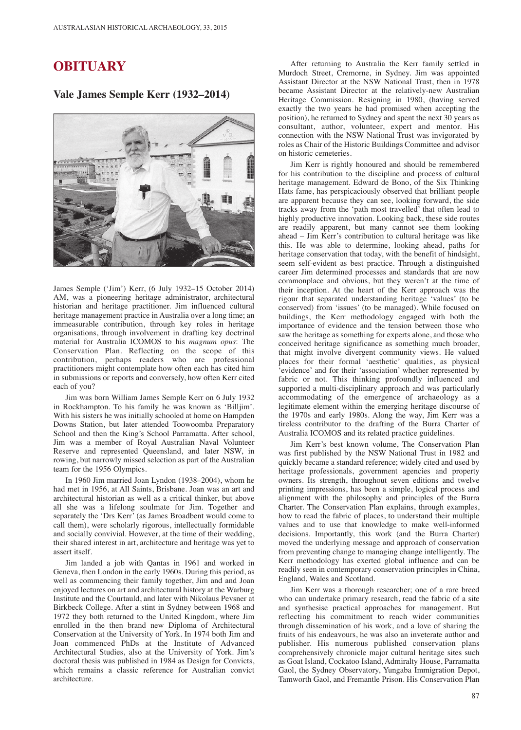## **OBITUARY**

## **Vale James Semple Kerr (1932–2014)**



James Semple ('Jim') Kerr, (6 July 1932–15 October 2014) AM, was a pioneering heritage administrator, architectural historian and heritage practitioner. Jim influenced cultural heritage management practice in Australia over a long time; an immeasurable contribution, through key roles in heritage organisations, through involvement in drafting key doctrinal material for Australia ICOMOS to his *magnum opus*: The Conservation Plan. Reflecting on the scope of this contribution, perhaps readers who are professional practitioners might contemplate how often each has cited him in submissions or reports and conversely, how often Kerr cited each of you?

Jim was born William James Semple Kerr on 6 July 1932 in Rockhampton. To his family he was known as 'Billjim'. With his sisters he was initially schooled at home on Hampden Downs Station, but later attended Toowoomba Preparatory School and then the King's School Parramatta. After school, Jim was a member of Royal Australian Naval Volunteer Reserve and represented Queensland, and later NSW, in rowing, but narrowly missed selection as part of the Australian team for the 1956 Olympics.

In 1960 Jim married Joan Lyndon (1938–2004), whom he had met in 1956, at All Saints, Brisbane. Joan was an art and architectural historian as well as a critical thinker, but above all she was a lifelong soulmate for Jim. Together and separately the 'Drs Kerr' (as James Broadbent would come to call them), were scholarly rigorous, intellectually formidable and socially convivial. However, at the time of their wedding, their shared interest in art, architecture and heritage was yet to assert itself.

Jim landed a job with Qantas in 1961 and worked in Geneva, then London in the early 1960s. During this period, as well as commencing their family together, Jim and and Joan enjoyed lectures on art and architectural history at the Warburg Institute and the Courtauld, and later with Nikolaus Pevsner at Birkbeck College. After a stint in Sydney between 1968 and 1972 they both returned to the United Kingdom, where Jim enrolled in the then brand new Diploma of Architectural Conservation at the University of York. In 1974 both Jim and Joan commenced PhDs at the Institute of Advanced Architectural Studies, also at the University of York. Jim's doctoral thesis was published in 1984 as Design for Convicts, which remains a classic reference for Australian convict architecture.

After returning to Australia the Kerr family settled in Murdoch Street, Cremorne, in Sydney. Jim was appointed Assistant Director at the NSW National Trust, then in 1978 became Assistant Director at the relatively-new Australian Heritage Commission. Resigning in 1980, (having served exactly the two years he had promised when accepting the position), he returned to Sydney and spent the next 30 years as consultant, author, volunteer, expert and mentor. His connection with the NSW National Trust was invigorated by roles as Chair of the Historic Buildings Committee and advisor on historic cemeteries.

Jim Kerr is rightly honoured and should be remembered for his contribution to the discipline and process of cultural heritage management. Edward de Bono, of the Six Thinking Hats fame, has perspicaciously observed that brilliant people are apparent because they can see, looking forward, the side tracks away from the 'path most travelled' that often lead to highly productive innovation. Looking back, these side routes are readily apparent, but many cannot see them looking ahead – Jim Kerr's contribution to cultural heritage was like this. He was able to determine, looking ahead, paths for heritage conservation that today, with the benefit of hindsight, seem self-evident as best practice. Through a distinguished career Jim determined processes and standards that are now commonplace and obvious, but they weren't at the time of their inception. At the heart of the Kerr approach was the rigour that separated understanding heritage 'values' (to be conserved) from 'issues' (to be managed). While focused on buildings, the Kerr methodology engaged with both the importance of evidence and the tension between those who saw the heritage as something for experts alone, and those who conceived heritage significance as something much broader, that might involve divergent community views. He valued places for their formal 'aesthetic' qualities, as physical 'evidence' and for their 'association' whether represented by fabric or not. This thinking profoundly influenced and supported a multi-disciplinary approach and was particularly accommodating of the emergence of archaeology as a legitimate element within the emerging heritage discourse of the 1970s and early 1980s. Along the way, Jim Kerr was a tireless contributor to the drafting of the Burra Charter of Australia ICOMOS and its related practice guidelines.

Jim Kerr's best known volume, The Conservation Plan was first published by the NSW National Trust in 1982 and quickly became a standard reference; widely cited and used by heritage professionals, government agencies and property owners. Its strength, throughout seven editions and twelve printing impressions, has been a simple, logical process and alignment with the philosophy and principles of the Burra Charter. The Conservation Plan explains, through examples, how to read the fabric of places, to understand their multiple values and to use that knowledge to make well-informed decisions. Importantly, this work (and the Burra Charter) moved the underlying message and approach of conservation from preventing change to managing change intelligently. The Kerr methodology has exerted global influence and can be readily seen in contemporary conservation principles in China, England, Wales and Scotland.

Jim Kerr was a thorough researcher; one of a rare breed who can undertake primary research, read the fabric of a site and synthesise practical approaches for management. But reflecting his commitment to reach wider communities through dissemination of his work, and a love of sharing the fruits of his endeavours, he was also an inveterate author and publisher. His numerous published conservation plans comprehensively chronicle major cultural heritage sites such as Goat Island, Cockatoo Island, Admiralty House, Parramatta Gaol, the Sydney Observatory, Yungaba Immigration Depot, Tamworth Gaol, and Fremantle Prison. His Conservation Plan